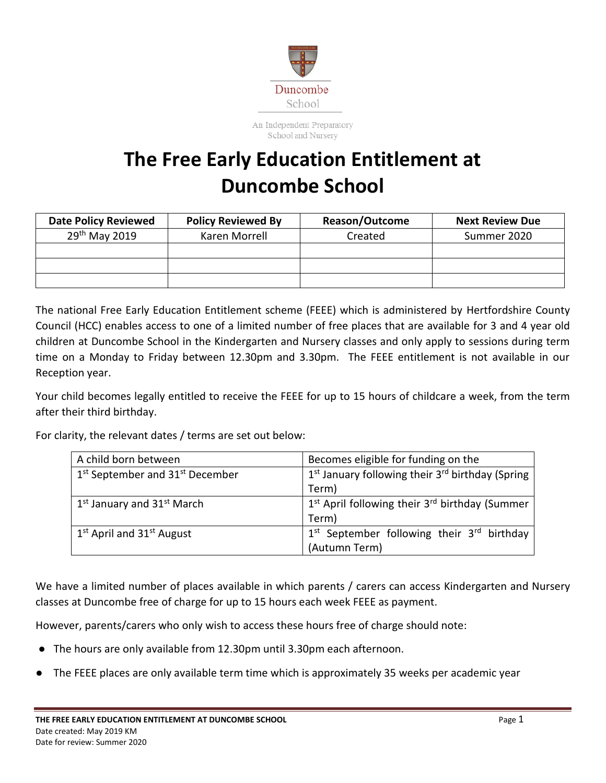

An Independent Preparatory School and Nursery

## **The Free Early Education Entitlement at Duncombe School**

| <b>Date Policy Reviewed</b> | <b>Policy Reviewed By</b> | <b>Reason/Outcome</b> | <b>Next Review Due</b> |
|-----------------------------|---------------------------|-----------------------|------------------------|
| 29 <sup>th</sup> May 2019   | Karen Morrell             | Created               | Summer 2020            |
|                             |                           |                       |                        |
|                             |                           |                       |                        |
|                             |                           |                       |                        |

The national Free Early Education Entitlement scheme (FEEE) which is administered by Hertfordshire County Council (HCC) enables access to one of a limited number of free places that are available for 3 and 4 year old children at Duncombe School in the Kindergarten and Nursery classes and only apply to sessions during term time on a Monday to Friday between 12.30pm and 3.30pm. The FEEE entitlement is not available in our Reception year.

Your child becomes legally entitled to receive the FEEE for up to 15 hours of childcare a week, from the term after their third birthday.

For clarity, the relevant dates / terms are set out below:

| A child born between                                    | Becomes eligible for funding on the                                      |  |
|---------------------------------------------------------|--------------------------------------------------------------------------|--|
| 1 <sup>st</sup> September and 31 <sup>st</sup> December | 1 <sup>st</sup> January following their 3 <sup>rd</sup> birthday (Spring |  |
|                                                         | Term)                                                                    |  |
| $1st$ January and $31st$ March                          | 1 <sup>st</sup> April following their 3 <sup>rd</sup> birthday (Summer   |  |
|                                                         | Term)                                                                    |  |
| $1st$ April and $31st$ August                           | 1 <sup>st</sup> September following their 3 <sup>rd</sup> birthday       |  |
|                                                         | (Autumn Term)                                                            |  |

We have a limited number of places available in which parents / carers can access Kindergarten and Nursery classes at Duncombe free of charge for up to 15 hours each week FEEE as payment.

However, parents/carers who only wish to access these hours free of charge should note:

- The hours are only available from 12.30pm until 3.30pm each afternoon.
- The FEEE places are only available term time which is approximately 35 weeks per academic year